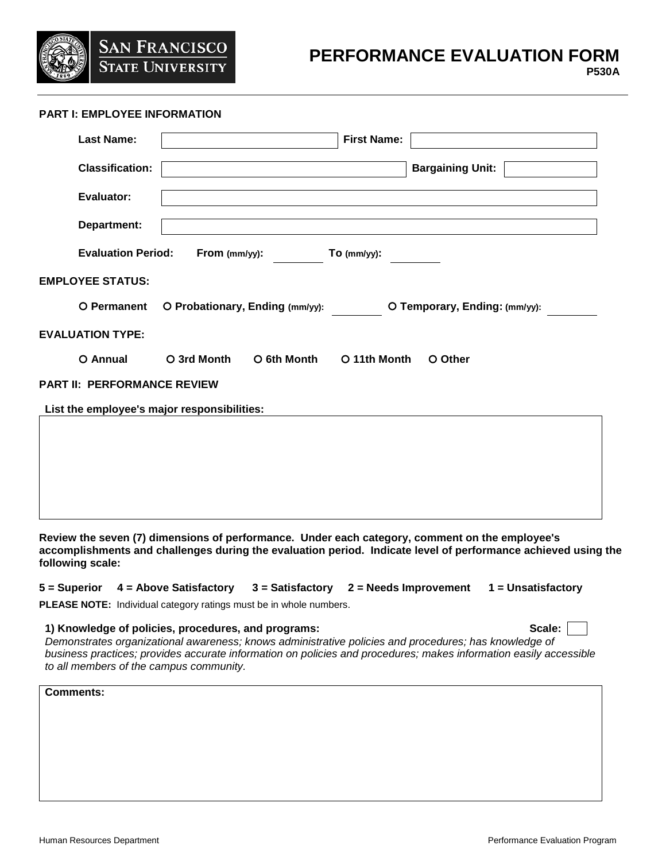

# **PERFORMANCE EVALUATION FORM**

## **PART I: EMPLOYEE INFORMATION**

| <b>Last Name:</b>                           | <b>First Name:</b>                                               |  |  |
|---------------------------------------------|------------------------------------------------------------------|--|--|
| <b>Classification:</b>                      | <b>Bargaining Unit:</b>                                          |  |  |
| <b>Evaluator:</b>                           |                                                                  |  |  |
| Department:                                 |                                                                  |  |  |
| <b>Evaluation Period:</b>                   | From (mm/yy):<br>$To$ (mm/yy):                                   |  |  |
| <b>EMPLOYEE STATUS:</b>                     |                                                                  |  |  |
| O Permanent                                 | O Probationary, Ending (mm/yy):<br>O Temporary, Ending: (mm/yy): |  |  |
| <b>EVALUATION TYPE:</b>                     |                                                                  |  |  |
| O Annual                                    | O 3rd Month<br>O 6th Month<br>O 11th Month<br>O Other            |  |  |
| <b>PART II: PERFORMANCE REVIEW</b>          |                                                                  |  |  |
| List the employee's major responsibilities: |                                                                  |  |  |
|                                             |                                                                  |  |  |
|                                             |                                                                  |  |  |
|                                             |                                                                  |  |  |
|                                             |                                                                  |  |  |

**Review the seven (7) dimensions of performance. Under each category, comment on the employee's accomplishments and challenges during the evaluation period. Indicate level of performance achieved using the following scale:** 

# **5 = Superior 4 = Above Satisfactory 3 = Satisfactory 2 = Needs Improvement 1 = Unsatisfactory**

**PLEASE NOTE:** Individual category ratings must be in whole numbers.

### **1) Knowledge of policies, procedures, and programs: Scale:**

| ı<br>Π<br>- 21 |  |
|----------------|--|
|----------------|--|

*Demonstrates organizational awareness; knows administrative policies and procedures; has knowledge of business practices; provides accurate information on policies and procedures; makes information easily accessible to all members of the campus community.*

**Comments:**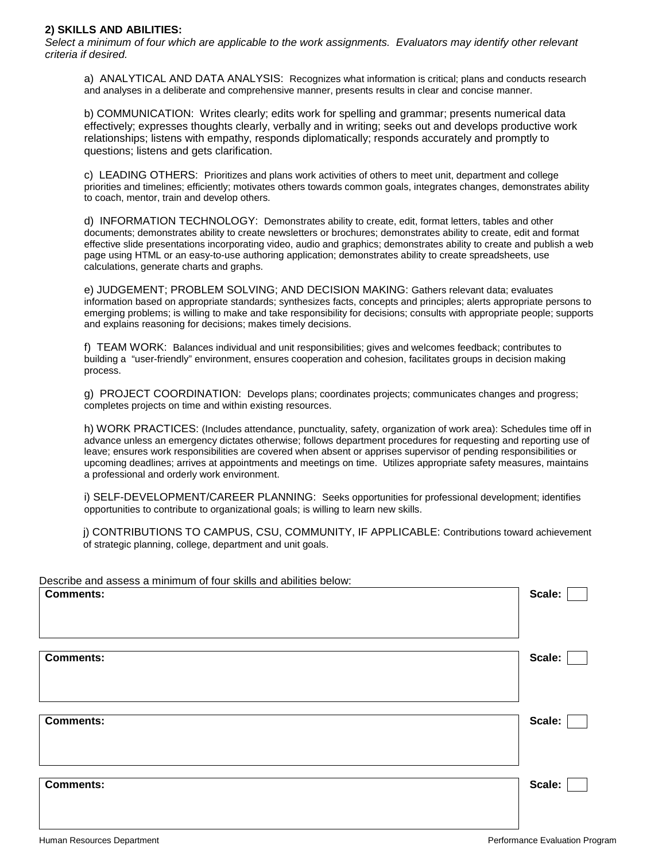### **2) SKILLS AND ABILITIES:**

*Select a minimum of four which are applicable to the work assignments. Evaluators may identify other relevant criteria if desired.*

a) ANALYTICAL AND DATA ANALYSIS: Recognizes what information is critical; plans and conducts research and analyses in a deliberate and comprehensive manner, presents results in clear and concise manner.

b) COMMUNICATION: Writes clearly; edits work for spelling and grammar; presents numerical data effectively; expresses thoughts clearly, verbally and in writing; seeks out and develops productive work relationships; listens with empathy, responds diplomatically; responds accurately and promptly to questions; listens and gets clarification.

c) LEADING OTHERS: Prioritizes and plans work activities of others to meet unit, department and college priorities and timelines; efficiently; motivates others towards common goals, integrates changes, demonstrates ability to coach, mentor, train and develop others.

d) INFORMATION TECHNOLOGY: Demonstrates ability to create, edit, format letters, tables and other documents; demonstrates ability to create newsletters or brochures; demonstrates ability to create, edit and format effective slide presentations incorporating video, audio and graphics; demonstrates ability to create and publish a web page using HTML or an easy-to-use authoring application; demonstrates ability to create spreadsheets, use calculations, generate charts and graphs.

e) JUDGEMENT; PROBLEM SOLVING; AND DECISION MAKING: Gathers relevant data; evaluates information based on appropriate standards; synthesizes facts, concepts and principles; alerts appropriate persons to emerging problems; is willing to make and take responsibility for decisions; consults with appropriate people; supports and explains reasoning for decisions; makes timely decisions.

f) TEAM WORK: Balances individual and unit responsibilities; gives and welcomes feedback; contributes to building a "user-friendly" environment, ensures cooperation and cohesion, facilitates groups in decision making process.

g) PROJECT COORDINATION: Develops plans; coordinates projects; communicates changes and progress; completes projects on time and within existing resources.

h) WORK PRACTICES: (Includes attendance, punctuality, safety, organization of work area): Schedules time off in advance unless an emergency dictates otherwise; follows department procedures for requesting and reporting use of leave; ensures work responsibilities are covered when absent or apprises supervisor of pending responsibilities or upcoming deadlines; arrives at appointments and meetings on time. Utilizes appropriate safety measures, maintains a professional and orderly work environment.

i) SELF-DEVELOPMENT/CAREER PLANNING: Seeks opportunities for professional development; identifies opportunities to contribute to organizational goals; is willing to learn new skills.

j) CONTRIBUTIONS TO CAMPUS, CSU, COMMUNITY, IF APPLICABLE: Contributions toward achievement of strategic planning, college, department and unit goals.

| Describe and assess a minimum of four skills and abilities below: |        |
|-------------------------------------------------------------------|--------|
| <b>Comments:</b>                                                  | Scale: |
|                                                                   |        |
|                                                                   |        |
|                                                                   |        |
|                                                                   |        |
| <b>Comments:</b>                                                  | Scale: |
|                                                                   |        |
|                                                                   |        |
|                                                                   |        |
|                                                                   |        |
| <b>Comments:</b>                                                  | Scale: |
|                                                                   |        |
|                                                                   |        |
|                                                                   |        |
|                                                                   |        |
| <b>Comments:</b>                                                  | Scale: |
|                                                                   |        |
|                                                                   |        |
|                                                                   |        |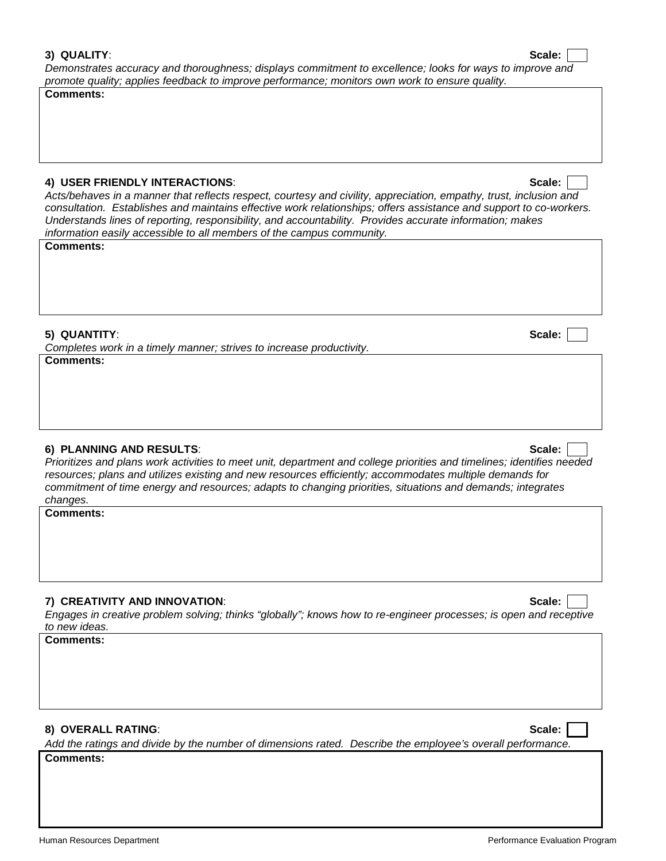*Demonstrates accuracy and thoroughness; displays commitment to excellence; looks for ways to improve and promote quality; applies feedback to improve performance; monitors own work to ensure quality.*

**Comments:**

## **4) USER FRIENDLY INTERACTIONS**: **Scale:**

*Completes work in a timely manner; strives to increase productivity.*

*Acts/behaves in a manner that reflects respect, courtesy and civility, appreciation, empathy, trust, inclusion and consultation. Establishes and maintains effective work relationships; offers assistance and support to co-workers. Understands lines of reporting, responsibility, and accountability. Provides accurate information; makes information easily accessible to all members of the campus community.*

**5) QUANTITY**: **Scale:**

**Comments:**

**Comments:**

# **6) PLANNING AND RESULTS**: **Scale:**

*Prioritizes and plans work activities to meet unit, department and college priorities and timelines; identifies needed resources; plans and utilizes existing and new resources efficiently; accommodates multiple demands for commitment of time energy and resources; adapts to changing priorities, situations and demands; integrates changes.* 

**Comments:**

# **7) CREATIVITY AND INNOVATION**: **Scale:**

*Engages in creative problem solving; thinks "globally"; knows how to re-engineer processes; is open and receptive to new ideas.*

**Comments:**

# **8) OVERALL RATING**: **Scale:**

*Add the ratings and divide by the number of dimensions rated. Describe the employee's overall performance.* **Comments:**